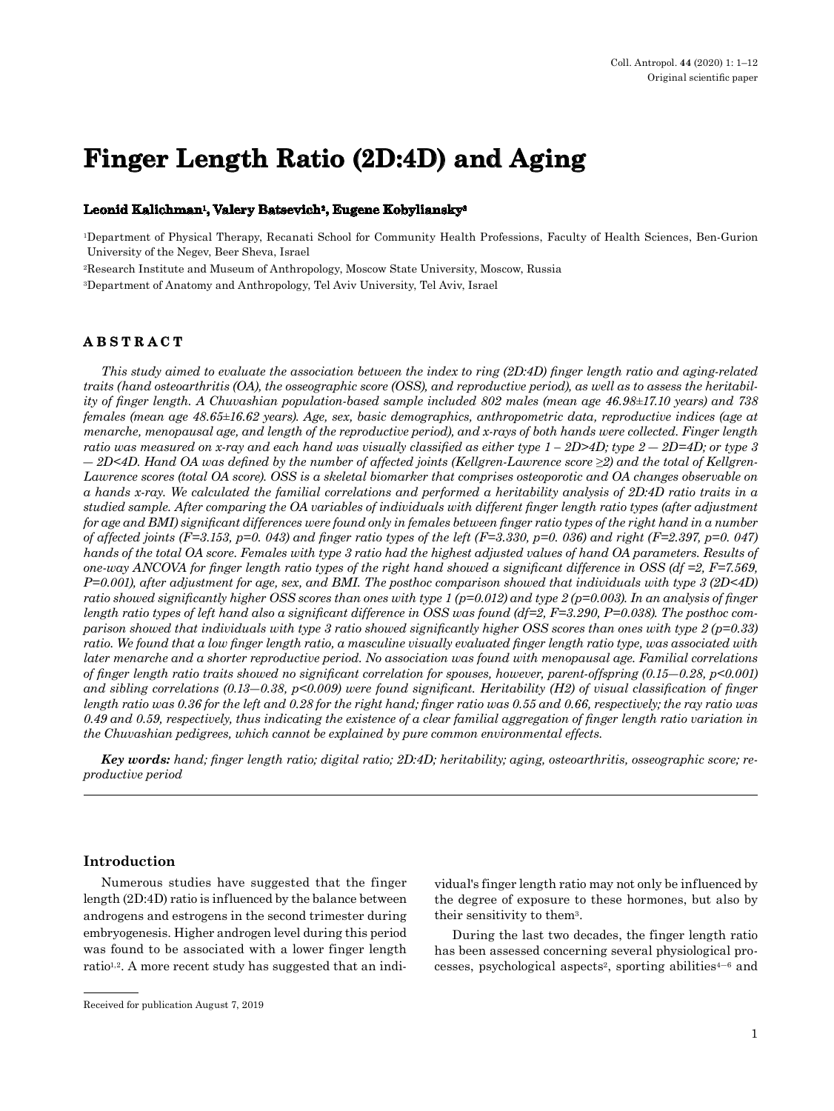# **Finger Length Ratio (2D:4D) and Aging**

### **Leonid Kalichman1, Valery Batsevich2, Eugene Kobyliansky3**

1Department of Physical Therapy, Recanati School for Community Health Professions, Faculty of Health Sciences, Ben-Gurion University of the Negev, Beer Sheva, Israel

2Research Institute and Museum of Anthropology, Moscow State University, Moscow, Russia

3Department of Anatomy and Anthropology, Tel Aviv University, Tel Aviv, Israel

# **ABSTRACT**

*This study aimed to evaluate the association between the index to ring (2D:4D) finger length ratio and aging-related traits (hand osteoarthritis (OA), the osseographic score (OSS), and reproductive period), as well as to assess the heritability of finger length. A Chuvashian population-based sample included 802 males (mean age 46.98±17.10 years) and 738 females (mean age 48.65±16.62 years). Age, sex, basic demographics, anthropometric data, reproductive indices (age at menarche, menopausal age, and length of the reproductive period), and x-rays of both hands were collected. Finger length ratio was measured on x-ray and each hand was visually classified as either type 1 – 2D>4D; type 2 ― 2D=4D; or type 3 ― 2D<4D. Hand OA was defined by the number of affected joints (Kellgren-Lawrence score ≥2) and the total of Kellgren-Lawrence scores (total OA score). OSS is a skeletal biomarker that comprises osteoporotic and OA changes observable on a hands x-ray. We calculated the familial correlations and performed a heritability analysis of 2D:4D ratio traits in a studied sample. After comparing the OA variables of individuals with different finger length ratio types (after adjustment for age and BMI) significant differences were found only in females between finger ratio types of the right hand in a number of affected joints (F=3.153, p=0. 043) and finger ratio types of the left (F=3.330, p=0. 036) and right (F=2.397, p=0. 047) hands of the total OA score. Females with type 3 ratio had the highest adjusted values of hand OA parameters. Results of one-way ANCOVA for finger length ratio types of the right hand showed a significant difference in OSS (df =2, F=7.569, P=0.001), after adjustment for age, sex, and BMI. The posthoc comparison showed that individuals with type 3 (2D<4D) ratio showed significantly higher OSS scores than ones with type 1 (p=0.012) and type 2 (p=0.003). In an analysis of finger length ratio types of left hand also a significant difference in OSS was found (df=2, F=3.290, P=0.038). The posthoc comparison showed that individuals with type 3 ratio showed significantly higher OSS scores than ones with type 2 (p=0.33) ratio. We found that a low finger length ratio, a masculine visually evaluated finger length ratio type, was associated with later menarche and a shorter reproductive period. No association was found with menopausal age. Familial correlations of finger length ratio traits showed no significant correlation for spouses, however, parent-offspring (0.15―0.28, p<0.001) and sibling correlations (0.13―0.38, p<0.009) were found significant. Heritability (H2) of visual classification of finger length ratio was 0.36 for the left and 0.28 for the right hand; finger ratio was 0.55 and 0.66, respectively; the ray ratio was 0.49 and 0.59, respectively, thus indicating the existence of a clear familial aggregation of finger length ratio variation in the Chuvashian pedigrees, which cannot be explained by pure common environmental effects.*

*Key words: hand; finger length ratio; digital ratio; 2D:4D; heritability; aging, osteoarthritis, osseographic score; reproductive period* 

# **Introduction**

Numerous studies have suggested that the finger length (2D:4D) ratio is influenced by the balance between androgens and estrogens in the second trimester during embryogenesis. Higher androgen level during this period was found to be associated with a lower finger length ratio<sup>1,2</sup>. A more recent study has suggested that an indi-

vidual's finger length ratio may not only be influenced by the degree of exposure to these hormones, but also by their sensitivity to them3.

During the last two decades, the finger length ratio has been assessed concerning several physiological processes, psychological aspects<sup>2</sup>, sporting abilities<sup> $4-6$ </sup> and

Received for publication August 7, 2019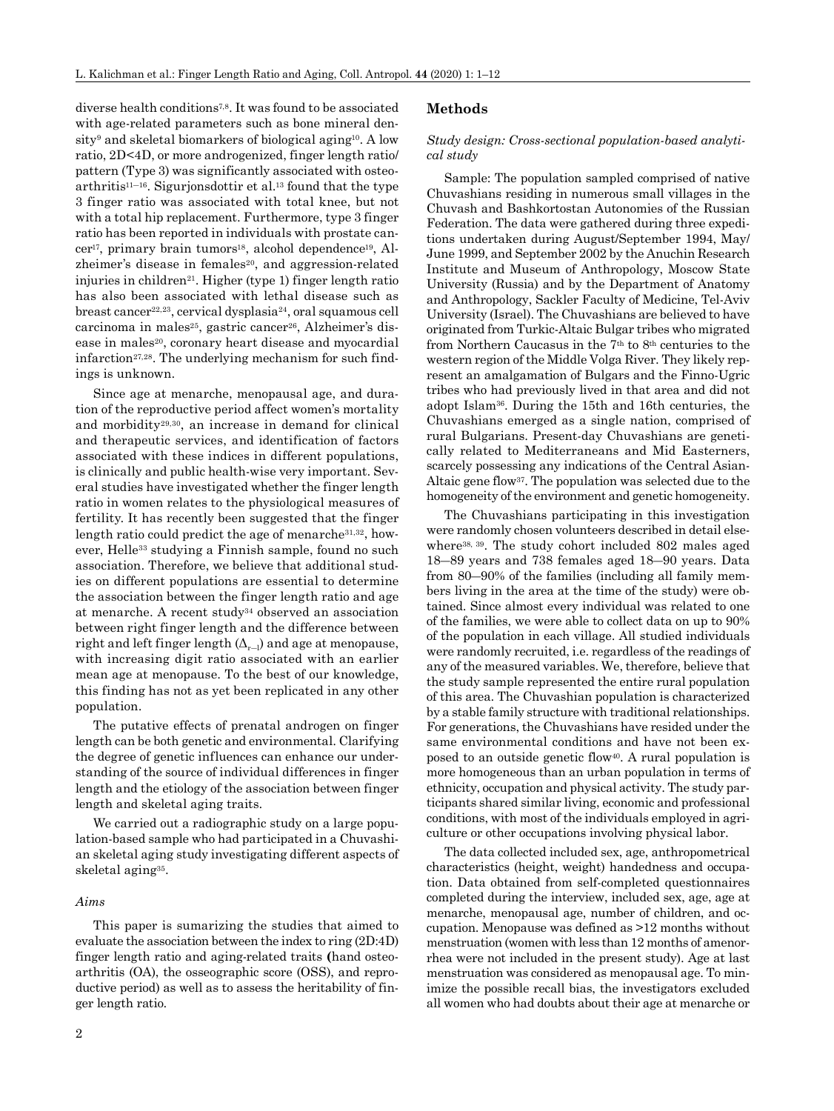diverse health conditions7,8. It was found to be associated with age-related parameters such as bone mineral density<sup>9</sup> and skeletal biomarkers of biological aging<sup>10</sup>. A low ratio, 2D<4D, or more androgenized, finger length ratio/ pattern (Type 3) was significantly associated with osteo $arthri t is<sup>11–16</sup>$ . Sigurjonsdottir et al.<sup>13</sup> found that the type 3 finger ratio was associated with total knee, but not with a total hip replacement. Furthermore, type 3 finger ratio has been reported in individuals with prostate cancer<sup>17</sup>, primary brain tumors<sup>18</sup>, alcohol dependence<sup>19</sup>, Alzheimer's disease in females<sup>20</sup>, and aggression-related injuries in children<sup>21</sup>. Higher (type 1) finger length ratio has also been associated with lethal disease such as breast cancer22,23, cervical dysplasia24, oral squamous cell carcinoma in males<sup>25</sup>, gastric cancer<sup>26</sup>, Alzheimer's disease in males<sup>20</sup>, coronary heart disease and myocardial infarction<sup>27,28</sup>. The underlying mechanism for such findings is unknown.

Since age at menarche, menopausal age, and duration of the reproductive period affect women's mortality and morbidity29,30, an increase in demand for clinical and therapeutic services, and identification of factors associated with these indices in different populations, is clinically and public health-wise very important. Several studies have investigated whether the finger length ratio in women relates to the physiological measures of fertility. It has recently been suggested that the finger length ratio could predict the age of menarche31,32, however, Helle<sup>33</sup> studying a Finnish sample, found no such association. Therefore, we believe that additional studies on different populations are essential to determine the association between the finger length ratio and age at menarche. A recent study34 observed an association between right finger length and the difference between right and left finger length  $(\Delta_{r-1})$  and age at menopause, with increasing digit ratio associated with an earlier mean age at menopause. To the best of our knowledge, this finding has not as yet been replicated in any other population.

The putative effects of prenatal androgen on finger length can be both genetic and environmental. Clarifying the degree of genetic influences can enhance our understanding of the source of individual differences in finger length and the etiology of the association between finger length and skeletal aging traits.

We carried out a radiographic study on a large population-based sample who had participated in a Chuvashian skeletal aging study investigating different aspects of skeletal aging35.

#### *Aims*

This paper is sumarizing the studies that aimed to evaluate the association between the index to ring (2D:4D) finger length ratio and aging-related traits **(**hand osteoarthritis (OA), the osseographic score (OSS), and reproductive period) as well as to assess the heritability of finger length ratio.

# **Methods**

#### *Study design: Cross-sectional population-based analytical study*

Sample: The population sampled comprised of native Chuvashians residing in numerous small villages in the Chuvash and Bashkortostan Autonomies of the Russian Federation. The data were gathered during three expeditions undertaken during August/September 1994, May/ June 1999, and September 2002 by the Anuchin Research Institute and Museum of Anthropology, Moscow State University (Russia) and by the Department of Anatomy and Anthropology, Sackler Faculty of Medicine, Tel-Aviv University (Israel). The Chuvashians are believed to have originated from Turkic-Altaic Bulgar tribes who migrated from Northern Caucasus in the 7th to 8th centuries to the western region of the Middle Volga River. They likely represent an amalgamation of Bulgars and the Finno-Ugric tribes who had previously lived in that area and did not adopt Islam36. During the 15th and 16th centuries, the Chuvashians emerged as a single nation, comprised of rural Bulgarians. Present-day Chuvashians are genetically related to Mediterraneans and Mid Easterners, scarcely possessing any indications of the Central Asian-Altaic gene flow37. The population was selected due to the homogeneity of the environment and genetic homogeneity.

The Chuvashians participating in this investigation were randomly chosen volunteers described in detail elsewhere38, 39. The study cohort included 802 males aged 18―89 years and 738 females aged 18―90 years. Data from 80―90% of the families (including all family members living in the area at the time of the study) were obtained. Since almost every individual was related to one of the families, we were able to collect data on up to 90% of the population in each village. All studied individuals were randomly recruited, i.e. regardless of the readings of any of the measured variables. We, therefore, believe that the study sample represented the entire rural population of this area. The Chuvashian population is characterized by a stable family structure with traditional relationships. For generations, the Chuvashians have resided under the same environmental conditions and have not been exposed to an outside genetic flow40. A rural population is more homogeneous than an urban population in terms of ethnicity, occupation and physical activity. The study participants shared similar living, economic and professional conditions, with most of the individuals employed in agriculture or other occupations involving physical labor.

The data collected included sex, age, anthropometrical characteristics (height, weight) handedness and occupation. Data obtained from self-completed questionnaires completed during the interview, included sex, age, age at menarche, menopausal age, number of children, and occupation. Menopause was defined as >12 months without menstruation (women with less than 12 months of amenorrhea were not included in the present study). Age at last menstruation was considered as menopausal age. To minimize the possible recall bias, the investigators excluded all women who had doubts about their age at menarche or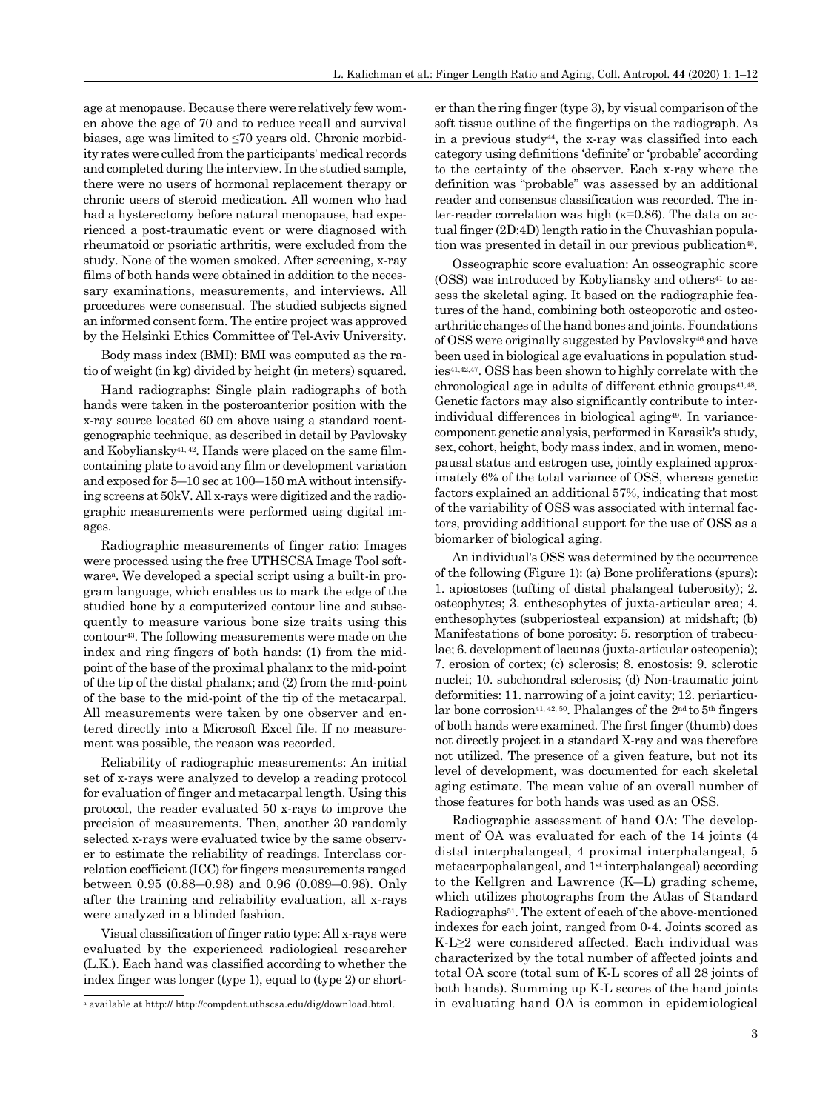age at menopause. Because there were relatively few women above the age of 70 and to reduce recall and survival biases, age was limited to ≤70 years old. Chronic morbidity rates were culled from the participants' medical records and completed during the interview. In the studied sample, there were no users of hormonal replacement therapy or chronic users of steroid medication. All women who had had a hysterectomy before natural menopause, had experienced a post-traumatic event or were diagnosed with rheumatoid or psoriatic arthritis, were excluded from the study. None of the women smoked. After screening, x-ray films of both hands were obtained in addition to the necessary examinations, measurements, and interviews. All procedures were consensual. The studied subjects signed an informed consent form. The entire project was approved by the Helsinki Ethics Committee of Tel-Aviv University.

Body mass index (BMI): BMI was computed as the ratio of weight (in kg) divided by height (in meters) squared.

Hand radiographs: Single plain radiographs of both hands were taken in the posteroanterior position with the x-ray source located 60 cm above using a standard roentgenographic technique, as described in detail by Pavlovsky and Kobyliansky41, 42. Hands were placed on the same filmcontaining plate to avoid any film or development variation and exposed for 5―10 sec at 100―150 mA without intensifying screens at 50kV. All x-rays were digitized and the radiographic measurements were performed using digital images.

Radiographic measurements of finger ratio: Images were processed using the free UTHSCSA Image Tool softwarea. We developed a special script using a built-in program language, which enables us to mark the edge of the studied bone by a computerized contour line and subsequently to measure various bone size traits using this contour43. The following measurements were made on the index and ring fingers of both hands: (1) from the midpoint of the base of the proximal phalanx to the mid-point of the tip of the distal phalanx; and (2) from the mid-point of the base to the mid-point of the tip of the metacarpal. All measurements were taken by one observer and entered directly into a Microsoft Excel file. If no measurement was possible, the reason was recorded.

Reliability of radiographic measurements: An initial set of x-rays were analyzed to develop a reading protocol for evaluation of finger and metacarpal length. Using this protocol, the reader evaluated 50 x-rays to improve the precision of measurements. Then, another 30 randomly selected x-rays were evaluated twice by the same observer to estimate the reliability of readings. Interclass correlation coefficient (ICC) for fingers measurements ranged between 0.95 (0.88―0.98) and 0.96 (0.089―0.98). Only after the training and reliability evaluation, all x-rays were analyzed in a blinded fashion.

Visual classification of finger ratio type: All x-rays were evaluated by the experienced radiological researcher (L.K.). Each hand was classified according to whether the index finger was longer (type 1), equal to (type 2) or shorter than the ring finger (type 3), by visual comparison of the soft tissue outline of the fingertips on the radiograph. As in a previous study44, the x-ray was classified into each category using definitions 'definite' or 'probable' according to the certainty of the observer. Each x-ray where the definition was "probable" was assessed by an additional reader and consensus classification was recorded. The inter-reader correlation was high (κ=0.86). The data on actual finger (2D:4D) length ratio in the Chuvashian population was presented in detail in our previous publication<sup>45</sup>.

Osseographic score evaluation: An osseographic score  $(0SS)$  was introduced by Kobyliansky and others<sup>41</sup> to assess the skeletal aging. It based on the radiographic features of the hand, combining both osteoporotic and osteoarthritic changes of the hand bones and joints. Foundations of OSS were originally suggested by Pavlovsky46 and have been used in biological age evaluations in population studies41,42,47. OSS has been shown to highly correlate with the chronological age in adults of different ethnic groups<sup>41,48</sup>. Genetic factors may also significantly contribute to interindividual differences in biological aging49. In variancecomponent genetic analysis, performed in Karasik's study, sex, cohort, height, body mass index, and in women, menopausal status and estrogen use, jointly explained approximately 6% of the total variance of OSS, whereas genetic factors explained an additional 57%, indicating that most of the variability of OSS was associated with internal factors, providing additional support for the use of OSS as a biomarker of biological aging.

An individual's OSS was determined by the occurrence of the following (Figure 1): (a) Bone proliferations (spurs): 1. apiostoses (tufting of distal phalangeal tuberosity); 2. osteophytes; 3. enthesophytes of juxta-articular area; 4. enthesophytes (subperiosteal expansion) at midshaft; (b) Manifestations of bone porosity: 5. resorption of trabeculae; 6. development of lacunas (juxta-articular osteopenia); 7. erosion of cortex; (c) sclerosis; 8. enostosis: 9. sclerotic nuclei; 10. subchondral sclerosis; (d) Non-traumatic joint deformities: 11. narrowing of a joint cavity; 12. periarticular bone corrosion<sup>41, 42, 50</sup>. Phalanges of the 2<sup>nd</sup> to 5<sup>th</sup> fingers of both hands were examined. The first finger (thumb) does not directly project in a standard X-ray and was therefore not utilized. The presence of a given feature, but not its level of development, was documented for each skeletal aging estimate. The mean value of an overall number of those features for both hands was used as an OSS.

Radiographic assessment of hand OA: The development of OA was evaluated for each of the 14 joints (4 distal interphalangeal, 4 proximal interphalangeal, 5 metacarpophalangeal, and 1st interphalangeal) according to the Kellgren and Lawrence (K―L) grading scheme, which utilizes photographs from the Atlas of Standard Radiographs51. The extent of each of the above-mentioned indexes for each joint, ranged from 0-4. Joints scored as K-L≥2 were considered affected. Each individual was characterized by the total number of affected joints and total OA score (total sum of K-L scores of all 28 joints of both hands). Summing up K-L scores of the hand joints in evaluating hand OA is common in epidemiological

a available at http:// http://compdent.uthscsa.edu/dig/download.html.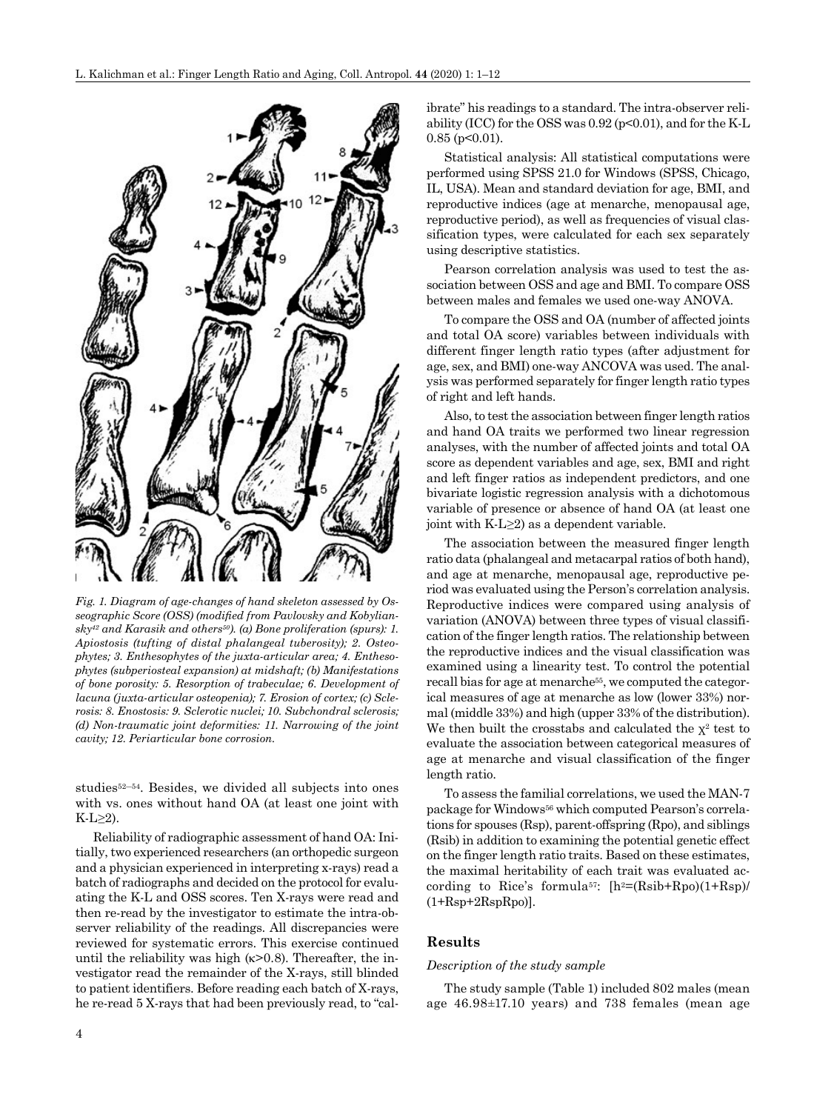

*Fig. 1. Diagram of age-changes of hand skeleton assessed by Osseographic Score (OSS) (modified from Pavlovsky and Kobyliansky42 and Karasik and others50). (a) Bone proliferation (spurs): 1. Apiostosis (tufting of distal phalangeal tuberosity); 2. Osteophytes; 3. Enthesophytes of the juxta-articular area; 4. Enthesophytes (subperiosteal expansion) at midshaft; (b) Manifestations of bone porosity: 5. Resorption of trabeculae; 6. Development of lacuna (juxta-articular osteopenia); 7. Erosion of cortex; (c) Sclerosis: 8. Enostosis: 9. Sclerotic nuclei; 10. Subchondral sclerosis; (d) Non-traumatic joint deformities: 11. Narrowing of the joint cavity; 12. Periarticular bone corrosion.*

studies<sup>52–54</sup>. Besides, we divided all subjects into ones with vs. ones without hand OA (at least one joint with  $K-L \geq 2$ ).

Reliability of radiographic assessment of hand OA: Initially, two experienced researchers (an orthopedic surgeon and a physician experienced in interpreting x-rays) read a batch of radiographs and decided on the protocol for evaluating the K-L and OSS scores. Ten X-rays were read and then re-read by the investigator to estimate the intra-observer reliability of the readings. All discrepancies were reviewed for systematic errors. This exercise continued until the reliability was high  $(k>0.8)$ . Thereafter, the investigator read the remainder of the X-rays, still blinded to patient identifiers. Before reading each batch of X-rays, he re-read 5 X-rays that had been previously read, to "calibrate" his readings to a standard. The intra-observer reliability (ICC) for the OSS was  $0.92$  (p<0.01), and for the K-L  $0.85$  (p<0.01).

Statistical analysis: All statistical computations were performed using SPSS 21.0 for Windows (SPSS, Chicago, IL, USA). Mean and standard deviation for age, BMI, and reproductive indices (age at menarche, menopausal age, reproductive period), as well as frequencies of visual classification types, were calculated for each sex separately using descriptive statistics.

Pearson correlation analysis was used to test the association between OSS and age and BMI. To compare OSS between males and females we used one-way ANOVA.

To compare the OSS and OA (number of affected joints and total OA score) variables between individuals with different finger length ratio types (after adjustment for age, sex, and BMI) one-way ANCOVA was used. The analysis was performed separately for finger length ratio types of right and left hands.

Also, to test the association between finger length ratios and hand OA traits we performed two linear regression analyses, with the number of affected joints and total OA score as dependent variables and age, sex, BMI and right and left finger ratios as independent predictors, and one bivariate logistic regression analysis with a dichotomous variable of presence or absence of hand OA (at least one joint with  $K-L \geq 2$ ) as a dependent variable.

The association between the measured finger length ratio data (phalangeal and metacarpal ratios of both hand), and age at menarche, menopausal age, reproductive period was evaluated using the Person's correlation analysis. Reproductive indices were compared using analysis of variation (ANOVA) between three types of visual classification of the finger length ratios. The relationship between the reproductive indices and the visual classification was examined using a linearity test. To control the potential recall bias for age at menarche<sup>55</sup>, we computed the categorical measures of age at menarche as low (lower 33%) normal (middle 33%) and high (upper 33% of the distribution). We then built the crosstabs and calculated the  $x^2$  test to evaluate the association between categorical measures of age at menarche and visual classification of the finger length ratio.

To assess the familial correlations, we used the MAN-7 package for Windows56 which computed Pearson's correlations for spouses (Rsp), parent-offspring (Rpo), and siblings (Rsib) in addition to examining the potential genetic effect on the finger length ratio traits. Based on these estimates, the maximal heritability of each trait was evaluated according to Rice's formula<sup>57</sup>:  $[h^2=(Rsib+Rpo)(1+Rsp)$  $(1+Rsp+2RspRpo)$ .

# **Results**

#### *Description of the study sample*

The study sample (Table 1) included 802 males (mean age 46.98±17.10 years) and 738 females (mean age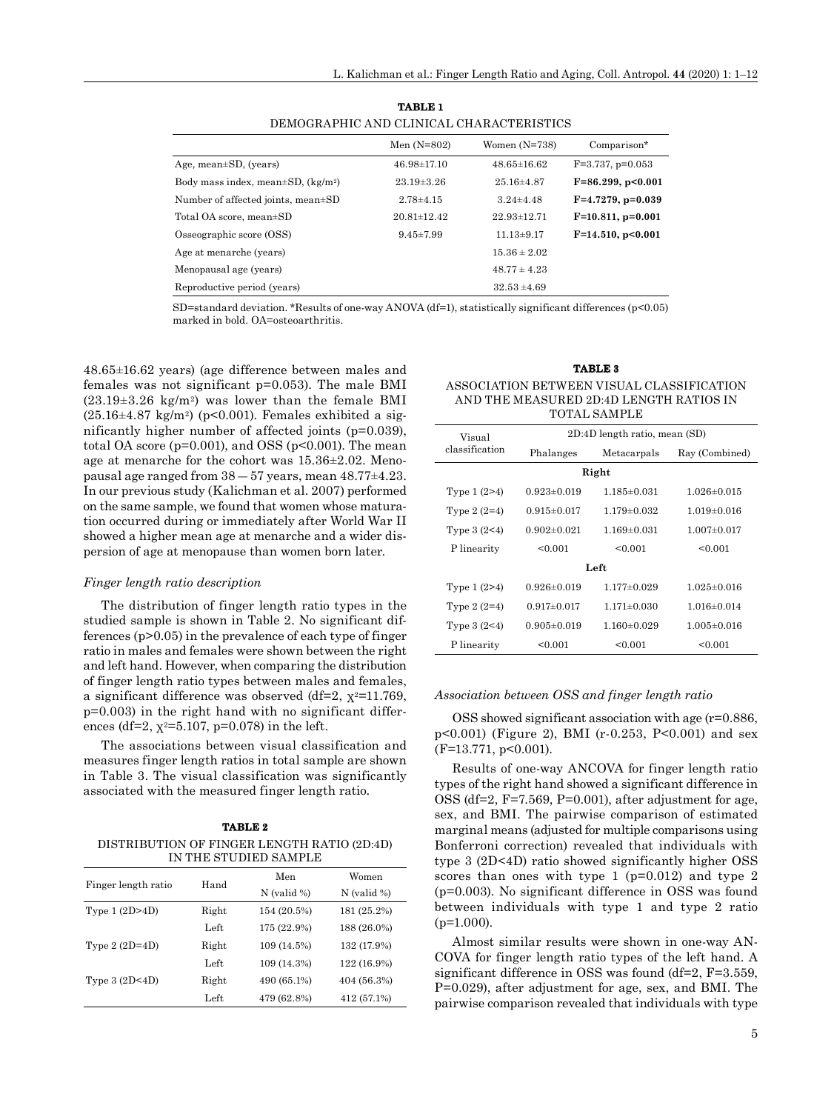|            | DEMOGRAPHIC AND CLINICAL CHARACTERISTICS |                 |            |
|------------|------------------------------------------|-----------------|------------|
|            | Men $(N=802)$                            | Women $(N=738)$ | Coi        |
| SD (years) | $46.98 \pm 17.10$                        | $4865 \pm 1662$ | $F = 3.79$ |

**TABLE 1**

|                                                      | Men $(N=802)$     | Women $(N=738)$   | Comparison*            |
|------------------------------------------------------|-------------------|-------------------|------------------------|
| Age, mean±SD, (years)                                | $46.98 \pm 17.10$ | $48.65 \pm 16.62$ | $F=3.737, p=0.053$     |
| Body mass index, mean $\pm$ SD, (kg/m <sup>2</sup> ) | $23.19 \pm 3.26$  | $25.16{\pm}4.87$  | $F=86.299, p<0.001$    |
| Number of affected joints, mean±SD                   | $2.78 + 4.15$     | $3.24 \pm 4.48$   | $F=4.7279$ , $p=0.039$ |
| Total OA score, mean±SD                              | 20.81±12.42       | $22.93 \pm 12.71$ | $F=10.811, p=0.001$    |
| Osseographic score (OSS)                             | $9.45 \pm 7.99$   | $11.13 \pm 9.17$  | $F=14.510, p<0.001$    |
| Age at menarche (years)                              |                   | $15.36 \pm 2.02$  |                        |
| Menopausal age (years)                               |                   | $48.77 \pm 4.23$  |                        |
| Reproductive period (years)                          |                   | $32.53 \pm 4.69$  |                        |

SD=standard deviation. \*Results of one-way ANOVA (df=1), statistically significant differences (p<0.05) marked in bold. OA=osteoarthritis.

48.65±16.62 years) (age difference between males and females was not significant p=0.053). The male BMI  $(23.19\pm3.26 \text{ kg/m}^2)$  was lower than the female BMI  $(25.16\pm4.87 \text{ kg/m}^2)$  (p<0.001). Females exhibited a significantly higher number of affected joints (p=0.039), total OA score ( $p=0.001$ ), and OSS ( $p<0.001$ ). The mean age at menarche for the cohort was 15.36±2.02. Menopausal age ranged from  $38 - 57$  years, mean  $48.77 \pm 4.23$ . In our previous study (Kalichman et al. 2007) performed on the same sample, we found that women whose maturation occurred during or immediately after World War II showed a higher mean age at menarche and a wider dispersion of age at menopause than women born later.

#### *Finger length ratio description*

The distribution of finger length ratio types in the studied sample is shown in Table 2. No significant differences (p>0.05) in the prevalence of each type of finger ratio in males and females were shown between the right and left hand. However, when comparing the distribution of finger length ratio types between males and females, a significant difference was observed (df=2,  $x^2$ =11.769, p=0.003) in the right hand with no significant differences (df=2,  $\chi^2$ =5.107, p=0.078) in the left.

The associations between visual classification and measures finger length ratios in total sample are shown in Table 3. The visual classification was significantly associated with the measured finger length ratio.

| <b>TABLE 2</b>                              |  |  |  |  |
|---------------------------------------------|--|--|--|--|
| DISTRIBUTION OF FINGER LENGTH RATIO (2D:4D) |  |  |  |  |
| IN THE STUDIED SAMPLE                       |  |  |  |  |

|                     |               | Men           | Women         |
|---------------------|---------------|---------------|---------------|
| Finger length ratio | Hand          | $N$ (valid %) | $N$ (valid %) |
| Type $1(2D>4D)$     | Right         | 154 (20.5%)   | 181 (25.2%)   |
|                     | Left          | 175 (22.9%)   | 188 (26.0%)   |
| Type $2(2D=4D)$     | Right         | 109 (14.5%)   | 132 (17.9%)   |
|                     | Left          | 109 (14.3%)   | 122 (16.9%)   |
| Type $3(2D<4D)$     | Right         | 490 (65.1%)   | 404 (56.3%)   |
|                     | $_{\rm Left}$ | 479 (62.8%)   | 412 (57.1%)   |

| <b>TABLE 3</b> |  |
|----------------|--|
|                |  |

ASSOCIATION BETWEEN VISUAL CLASSIFICATION AND THE MEASURED 2D:4D LENGTH RATIOS IN TOTAL CAMPLE

| TU TAL SAMPLIN |                               |                               |                   |  |  |
|----------------|-------------------------------|-------------------------------|-------------------|--|--|
| Visual         | 2D:4D length ratio, mean (SD) |                               |                   |  |  |
| classification | Phalanges                     | Ray (Combined)<br>Metacarpals |                   |  |  |
|                |                               | Right                         |                   |  |  |
| Type $1(2>4)$  | $0.923 \pm 0.019$             | 1.185±0.031                   | $1.026 \pm 0.015$ |  |  |
| Type $2(2=4)$  | $0.915 \pm 0.017$             | $1.179 \pm 0.032$             | $1.019 \pm 0.016$ |  |  |
| Type $3(2<4)$  | $0.902 \pm 0.021$             | $1.169 \pm 0.031$             | $1.007 \pm 0.017$ |  |  |
| P linearity    | < 0.001                       | < 0.001                       | < 0.001           |  |  |
|                |                               | Left                          |                   |  |  |
| Type $1(2>4)$  | $0.926 \pm 0.019$             | $1.177 \pm 0.029$             | $1.025 \pm 0.016$ |  |  |
| Type $2(2=4)$  | $0.917 \pm 0.017$             | $1.171 \pm 0.030$             | $1.016 \pm 0.014$ |  |  |
| Type $3(2<4)$  | $0.905 \pm 0.019$             | $1.160 \pm 0.029$             | $1.005 \pm 0.016$ |  |  |
| P linearity    | < 0.001                       | < 0.001                       | < 0.001           |  |  |

#### *Association between OSS and finger length ratio*

OSS showed significant association with age (r=0.886, p<0.001) (Figure 2), BMI (r-0.253, P<0.001) and sex (F=13.771, p<0.001).

Results of one-way ANCOVA for finger length ratio types of the right hand showed a significant difference in OSS (df=2, F=7.569, P=0.001), after adjustment for age, sex, and BMI. The pairwise comparison of estimated marginal means (adjusted for multiple comparisons using Bonferroni correction) revealed that individuals with type 3 (2D<4D) ratio showed significantly higher OSS scores than ones with type 1 ( $p=0.012$ ) and type 2 (p=0.003). No significant difference in OSS was found between individuals with type 1 and type 2 ratio  $(p=1.000)$ .

Almost similar results were shown in one-way AN-COVA for finger length ratio types of the left hand. A significant difference in OSS was found (df=2, F=3.559, P=0.029), after adjustment for age, sex, and BMI. The pairwise comparison revealed that individuals with type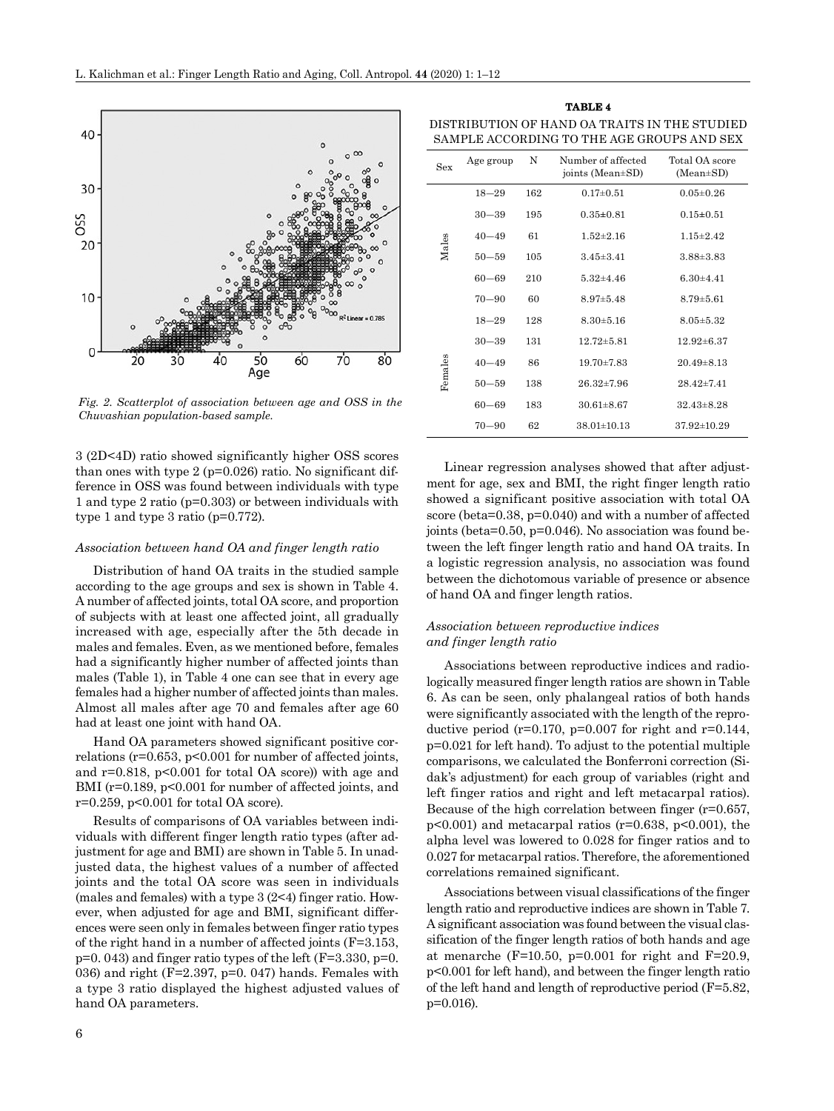

*Fig. 2. Scatterplot of association between age and OSS in the Chuvashian population-based sample.*

3 (2D<4D) ratio showed significantly higher OSS scores than ones with type 2 (p=0.026) ratio. No significant difference in OSS was found between individuals with type 1 and type 2 ratio (p=0.303) or between individuals with type 1 and type 3 ratio (p=0.772).

#### *Association between hand OA and finger length ratio*

Distribution of hand OA traits in the studied sample according to the age groups and sex is shown in Table 4. A number of affected joints, total OA score, and proportion of subjects with at least one affected joint, all gradually increased with age, especially after the 5th decade in males and females. Even, as we mentioned before, females had a significantly higher number of affected joints than males (Table 1), in Table 4 one can see that in every age females had a higher number of affected joints than males. Almost all males after age 70 and females after age 60 had at least one joint with hand OA.

Hand OA parameters showed significant positive correlations ( $r=0.653$ ,  $p<0.001$  for number of affected joints, and  $r=0.818$ ,  $p<0.001$  for total OA score)) with age and BMI (r=0.189, p<0.001 for number of affected joints, and r=0.259, p<0.001 for total OA score).

Results of comparisons of OA variables between individuals with different finger length ratio types (after adjustment for age and BMI) are shown in Table 5. In unadjusted data, the highest values of a number of affected joints and the total OA score was seen in individuals (males and females) with a type 3 (2<4) finger ratio. However, when adjusted for age and BMI, significant differences were seen only in females between finger ratio types of the right hand in a number of affected joints (F=3.153,  $p=0.043$ ) and finger ratio types of the left (F=3.330, p=0. 036) and right ( $F=2.397$ ,  $p=0.047$ ) hands. Females with a type 3 ratio displayed the highest adjusted values of hand OA parameters.

**TABLE 4** DISTRIBUTION OF HAND OA TRAITS IN THE STUDIED SAMPLE ACCORDING TO THE AGE GROUPS AND SEX

| Sex     | Age group | N   | Number of affected<br>joints (Mean±SD) | Total OA score<br>$(Mean \pm SD)$ |
|---------|-----------|-----|----------------------------------------|-----------------------------------|
|         | $18 - 29$ | 162 | $0.17{\pm}0.51$                        | $0.05 \pm 0.26$                   |
|         | $30 - 39$ | 195 | $0.35 \pm 0.81$                        | $0.15 \pm 0.51$                   |
|         | $40 - 49$ | 61  | $1.52 \pm 2.16$                        | $1.15 \pm 2.42$                   |
| Males   | $50 - 59$ | 105 | $3.45 \pm 3.41$                        | $3.88 \pm 3.83$                   |
|         | $60 - 69$ | 210 | $5.32 \pm 4.46$                        | $6.30 + 4.41$                     |
|         | $70 - 90$ | 60  | $8.97 \pm 5.48$                        | $8.79 \pm 5.61$                   |
|         | $18 - 29$ | 128 | $8.30 \pm 5.16$                        | $8.05 \pm 5.32$                   |
|         | $30 - 39$ | 131 | $12.72{\pm}5.81$                       | $12.92 \pm 6.37$                  |
|         | $40 - 49$ | 86  | $19.70 \pm 7.83$                       | $20.49\pm8.13$                    |
| Females | $50 - 59$ | 138 | $26.32 \pm 7.96$                       | $28.42 \pm 7.41$                  |
|         | $60 - 69$ | 183 | $30.61 \pm 8.67$                       | $32.43\pm8.28$                    |
|         | $70 - 90$ | 62  | $38.01 \pm 10.13$                      | $37.92 \pm 10.29$                 |

Linear regression analyses showed that after adjustment for age, sex and BMI, the right finger length ratio showed a significant positive association with total OA score (beta=0.38, p=0.040) and with a number of affected joints (beta=0.50, p=0.046). No association was found between the left finger length ratio and hand OA traits. In a logistic regression analysis, no association was found between the dichotomous variable of presence or absence of hand OA and finger length ratios.

# *Association between reproductive indices and finger length ratio*

Associations between reproductive indices and radiologically measured finger length ratios are shown in Table 6. As can be seen, only phalangeal ratios of both hands were significantly associated with the length of the reproductive period ( $r=0.170$ ,  $p=0.007$  for right and  $r=0.144$ , p=0.021 for left hand). To adjust to the potential multiple comparisons, we calculated the Bonferroni correction (Sidak's adjustment) for each group of variables (right and left finger ratios and right and left metacarpal ratios). Because of the high correlation between finger (r=0.657,  $p<0.001$ ) and metacarpal ratios (r=0.638, p<0.001), the alpha level was lowered to 0.028 for finger ratios and to 0.027 for metacarpal ratios. Therefore, the aforementioned correlations remained significant.

Associations between visual classifications of the finger length ratio and reproductive indices are shown in Table 7. A significant association was found between the visual classification of the finger length ratios of both hands and age at menarche (F=10.50, p=0.001 for right and F=20.9, p<0.001 for left hand), and between the finger length ratio of the left hand and length of reproductive period (F=5.82,  $p=0.016$ ).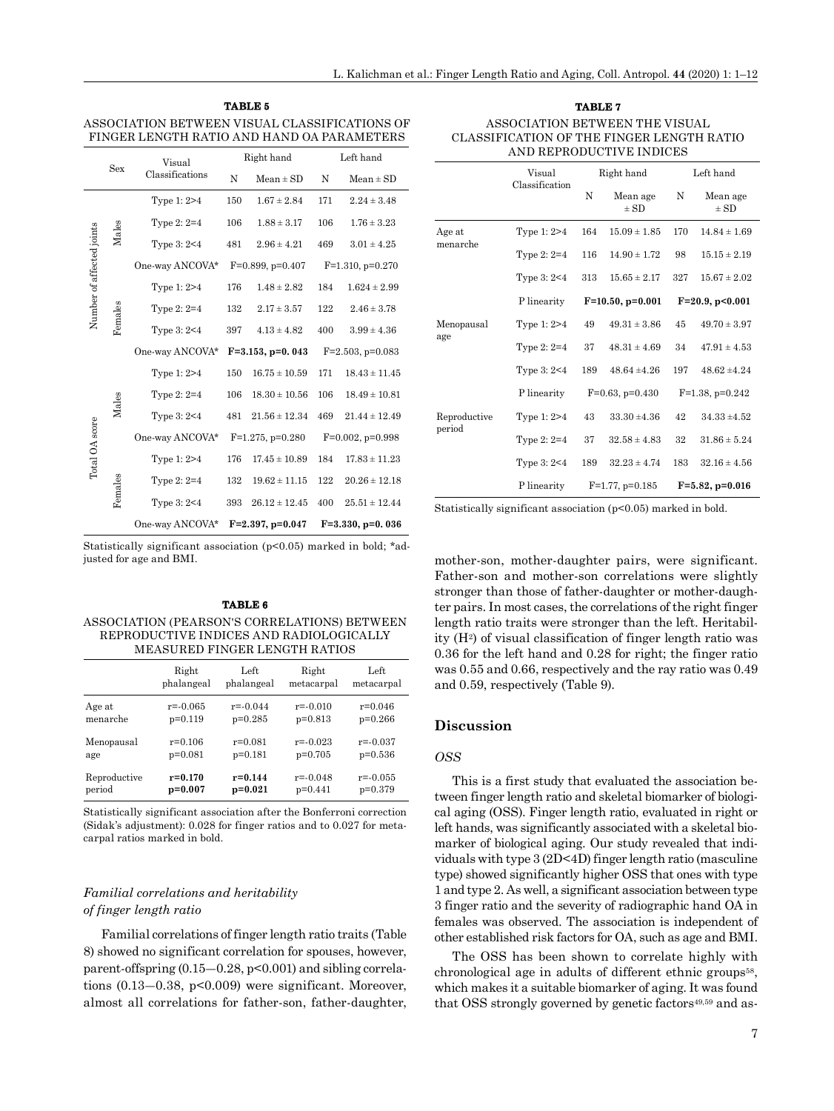| TABLE 5                                       |
|-----------------------------------------------|
| ASSOCIATION BETWEEN VISUAL CLASSIFICATIONS OF |
| FINGER LENGTH RATIO AND HAND OA PARAMETERS    |

|                           | Sex             | Visual          | Right hand |                       | Left hand |                       |
|---------------------------|-----------------|-----------------|------------|-----------------------|-----------|-----------------------|
|                           | Classifications |                 | N          | $Mean \pm SD$         | N         | $Mean \pm SD$         |
|                           |                 | Type 1: 2>4     | 150        | $1.67 \pm 2.84$       | 171       | $2.24 \pm 3.48$       |
|                           | Males           | Type $2:2=4$    | 106        | $1.88 \pm 3.17$       | 106       | $1.76 \pm 3.23$       |
|                           |                 | Type 3: 2<4     | 481        | $2.96 \pm 4.21$       | 469       | $3.01 \pm 4.25$       |
|                           |                 | One-way ANCOVA* |            | $F=0.899$ , $p=0.407$ |           | $F=1.310$ , $p=0.270$ |
|                           |                 | Type 1: 2>4     | 176        | $1.48 \pm 2.82$       | 184       | $1.624 \pm 2.99$      |
| Number of affected joints | Females         | Type $2:2=4$    | 132        | $2.17 \pm 3.57$       | 122       | $2.46 \pm 3.78$       |
|                           |                 | Type $3:2<4$    | 397        | $4.13 \pm 4.82$       | 400       | $3.99 \pm 4.36$       |
|                           |                 | One-way ANCOVA* |            | $F=3.153, p=0.043$    |           | $F=2.503$ , $p=0.083$ |
|                           |                 | Type 1: 2>4     | 150        | $16.75 \pm 10.59$     | 171       | $18.43 \pm 11.45$     |
|                           | Males           | Type $2:2=4$    | 106        | $18.30 \pm 10.56$     | 106       | $18.49 \pm 10.81$     |
|                           |                 | Type $3:2<4$    | 481        | $21.56 \pm 12.34$     | 469       | $21.44 \pm 12.49$     |
|                           |                 | One-way ANCOVA* |            | $F=1.275$ , $p=0.280$ |           | $F=0.002$ , $p=0.998$ |
| Total OA score            |                 | Type 1: 2>4     | 176        | $17.45 \pm 10.89$     | 184       | $17.83 \pm 11.23$     |
|                           | Females         | Type $2:2=4$    | 132        | $19.62 \pm 11.15$     | 122       | $20.26 \pm 12.18$     |
|                           |                 | Type $3:2<4$    | 393        | $26.12 \pm 12.45$     | 400       | $25.51 \pm 12.44$     |
|                           |                 | One-way ANCOVA* |            | $F=2.397, p=0.047$    |           | $F=3.330, p=0.036$    |

Statistically significant association (p<0.05) marked in bold; \*adjusted for age and BMI.

#### **TABLE 6** ASSOCIATION (PEARSON'S CORRELATIONS) BETWEEN REPRODUCTIVE INDICES AND RADIOLOGICALLY MEASURED FINGER LENGTH RATIOS

|              | Right        | Left         | Right        | Left         |
|--------------|--------------|--------------|--------------|--------------|
|              | phalangeal   | phalangeal   | metacarpal   | metacarpal   |
| Age at       | $r = -0.065$ | $r = -0.044$ | $r = -0.010$ | $r = 0.046$  |
| menarche     | $p=0.119$    | $p=0.285$    | $p=0.813$    | $p=0.266$    |
| Menopausal   | $r = 0.106$  | $r = 0.081$  | $r = -0.023$ | $r = -0.037$ |
| age          | $p=0.081$    | $p=0.181$    | $p=0.705$    | $p=0.536$    |
| Reproductive | $r = 0.170$  | $r = 0.144$  | $r = -0.048$ | $r = 0.055$  |
| period       | $p=0.007$    | $p=0.021$    | $p=0.441$    | $p=0.379$    |

Statistically significant association after the Bonferroni correction (Sidak's adjustment): 0.028 for finger ratios and to 0.027 for metacarpal ratios marked in bold.

# *Familial correlations and heritability of finger length ratio*

Familial correlations of finger length ratio traits (Table 8) showed no significant correlation for spouses, however, parent-offspring (0.15―0.28, p<0.001) and sibling correlations (0.13–0.38, p<0.009) were significant. Moreover, almost all correlations for father-son, father-daughter,

| TABLE 7                                   |  |  |  |  |
|-------------------------------------------|--|--|--|--|
| ASSOCIATION BETWEEN THE VISUAL            |  |  |  |  |
| CLASSIFICATION OF THE FINGER LENGTH RATIO |  |  |  |  |
| AND REPRODUCTIVE INDICES                  |  |  |  |  |

|                        | Visual         | Right hand |                      | Left hand |                      |
|------------------------|----------------|------------|----------------------|-----------|----------------------|
|                        | Classification | N          | Mean age<br>$\pm$ SD | N         | Mean age<br>$\pm$ SD |
| Age at                 | Type 1: 2>4    | 164        | $15.09 \pm 1.85$     | 170       | $14.84 \pm 1.69$     |
| menarche               | Type $2:2=4$   | 116        | $14.90 \pm 1.72$     | 98        | $15.15 \pm 2.19$     |
|                        | Type 3: 2<4    | 313        | $15.65 \pm 2.17$     | 327       | $15.67 \pm 2.02$     |
|                        | P linearity    |            | $F=10.50, p=0.001$   |           | $F=20.9, p<0.001$    |
| Menopausal             | Type 1: 2>4    | 49         | $49.31 \pm 3.86$     | 45        | $49.70 \pm 3.97$     |
| age                    | Type $2:2=4$   | 37         | $48.31 \pm 4.69$     | 34        | $47.91 \pm 4.53$     |
|                        | Type 3: 2<4    | 189        | $48.64 \pm 4.26$     | 197       | $48.62 \pm 4.24$     |
|                        | P linearity    |            | $F=0.63$ , $p=0.430$ |           | $F=1.38, p=0.242$    |
| Reproductive<br>period | Type 1: 2>4    | 43         | $33.30 + 4.36$       | 42        | $34.33 \pm 4.52$     |
|                        | Type $2:2=4$   | 37         | $32.58 \pm 4.83$     | 32        | $31.86 \pm 5.24$     |
|                        | Type 3: 2<4    | 189        | $32.23 \pm 4.74$     | 183       | $32.16 \pm 4.56$     |
|                        | P linearity    |            | $F=1.77$ , p=0.185   |           | $F=5.82, p=0.016$    |

Statistically significant association (p<0.05) marked in bold.

mother-son, mother-daughter pairs, were significant. Father-son and mother-son correlations were slightly stronger than those of father-daughter or mother-daughter pairs. In most cases, the correlations of the right finger length ratio traits were stronger than the left. Heritability (H2) of visual classification of finger length ratio was 0.36 for the left hand and 0.28 for right; the finger ratio was 0.55 and 0.66, respectively and the ray ratio was 0.49 and 0.59, respectively (Table 9).

#### **Discussion**

#### *OSS*

This is a first study that evaluated the association between finger length ratio and skeletal biomarker of biological aging (OSS). Finger length ratio, evaluated in right or left hands, was significantly associated with a skeletal biomarker of biological aging. Our study revealed that individuals with type 3 (2D<4D) finger length ratio (masculine type) showed significantly higher OSS that ones with type 1 and type 2. As well, a significant association between type 3 finger ratio and the severity of radiographic hand OA in females was observed. The association is independent of other established risk factors for OA, such as age and BMI.

The OSS has been shown to correlate highly with chronological age in adults of different ethnic groups<sup>58</sup>, which makes it a suitable biomarker of aging. It was found that OSS strongly governed by genetic factors<sup>49,59</sup> and as-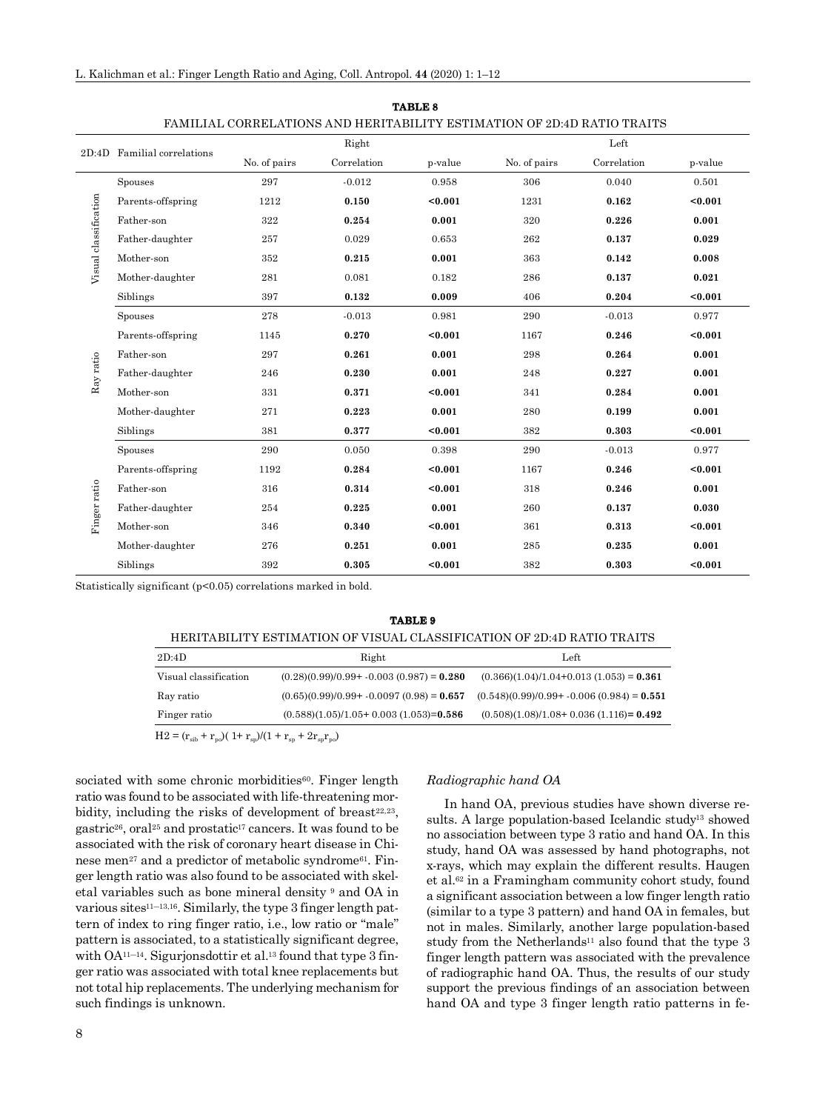| FAMILIAL CORRELATIONS AND HERITABILITY ESTIMATION OF 2D:4D RATIO TRAITS |                             |              |             |         |              |             |         |
|-------------------------------------------------------------------------|-----------------------------|--------------|-------------|---------|--------------|-------------|---------|
|                                                                         | 2D:4D Familial correlations | Right        |             |         | Left         |             |         |
|                                                                         |                             | No. of pairs | Correlation | p-value | No. of pairs | Correlation | p-value |
| Visual classification                                                   | Spouses                     | 297          | $-0.012$    | 0.958   | 306          | 0.040       | 0.501   |
|                                                                         | Parents-offspring           | 1212         | 0.150       | $0.001$ | 1231         | 0.162       | < 0.001 |
|                                                                         | Father-son                  | 322          | 0.254       | 0.001   | 320          | 0.226       | 0.001   |
|                                                                         | Father-daughter             | 257          | 0.029       | 0.653   | 262          | 0.137       | 0.029   |
|                                                                         | Mother-son                  | 352          | 0.215       | 0.001   | 363          | 0.142       | 0.008   |
|                                                                         | Mother-daughter             | 281          | 0.081       | 0.182   | 286          | 0.137       | 0.021   |
|                                                                         | Siblings                    | 397          | 0.132       | 0.009   | 406          | 0.204       | $0.001$ |
| Ray ratio<br>Finger ratio                                               | Spouses                     | 278          | $-0.013$    | 0.981   | 290          | $-0.013$    | 0.977   |
|                                                                         | Parents-offspring           | 1145         | 0.270       | $0.001$ | 1167         | 0.246       | $0.001$ |
|                                                                         | Father-son                  | 297          | 0.261       | 0.001   | 298          | 0.264       | 0.001   |
|                                                                         | Father-daughter             | 246          | 0.230       | 0.001   | 248          | 0.227       | 0.001   |
|                                                                         | Mother-son                  | 331          | 0.371       | $0.001$ | 341          | 0.284       | 0.001   |
|                                                                         | Mother-daughter             | 271          | 0.223       | 0.001   | 280          | 0.199       | 0.001   |
|                                                                         | Siblings                    | 381          | 0.377       | $0.001$ | 382          | 0.303       | $0.001$ |
|                                                                         | Spouses                     | 290          | 0.050       | 0.398   | 290          | $-0.013$    | 0.977   |
|                                                                         | Parents-offspring           | 1192         | 0.284       | < 0.001 | 1167         | 0.246       | $0.001$ |
|                                                                         | Father-son                  | 316          | 0.314       | < 0.001 | 318          | 0.246       | 0.001   |
|                                                                         | Father-daughter             | 254          | 0.225       | 0.001   | 260          | 0.137       | 0.030   |
|                                                                         | Mother-son                  | 346          | 0.340       | $0.001$ | 361          | 0.313       | $0.001$ |
|                                                                         | Mother-daughter             | 276          | 0.251       | 0.001   | 285          | 0.235       | 0.001   |
|                                                                         | Siblings                    | 392          | 0.305       | < 0.001 | 382          | 0.303       | $0.001$ |

**TABLE 8**

Statistically significant (p<0.05) correlations marked in bold.

| TABLE 9                                                                |                                             |                                              |  |  |  |  |  |  |
|------------------------------------------------------------------------|---------------------------------------------|----------------------------------------------|--|--|--|--|--|--|
| HERITABILITY ESTIMATION OF VISUAL CLASSIFICATION OF 2D:4D RATIO TRAITS |                                             |                                              |  |  |  |  |  |  |
| 2D:4D                                                                  | Right                                       | Left                                         |  |  |  |  |  |  |
| Visual classification                                                  | $(0.28)(0.99)/0.99 + -0.003(0.987) = 0.280$ | $(0.366)(1.04)/1.04+0.013(1.053) = 0.361$    |  |  |  |  |  |  |
| Ray ratio                                                              | $(0.65)(0.99)/0.99 + -0.0097(0.98) = 0.657$ | $(0.548)(0.99)/0.99 + -0.006(0.984) = 0.551$ |  |  |  |  |  |  |
| Finger ratio                                                           | $(0.588)(1.05)/1.05+0.003(1.053)=0.586$     | $(0.508)(1.08)/1.08 + 0.036(1.116) = 0.492$  |  |  |  |  |  |  |
| H9 = (r + r )( 1+ r )/(1 + r + 9r r )                                  |                                             |                                              |  |  |  |  |  |  |

 $\frac{F_{\rm sib} + F_{\rm po}}{1 + r_{\rm sp}^2}$ (1 +  $r_{\rm sp}^2 + 2r_{\rm sp}^2$ 

sociated with some chronic morbidities $60$ . Finger length ratio was found to be associated with life-threatening morbidity, including the risks of development of breast $22.23$ , gastric<sup>26</sup>, oral<sup>25</sup> and prostatic<sup>17</sup> cancers. It was found to be associated with the risk of coronary heart disease in Chinese men<sup>27</sup> and a predictor of metabolic syndrome<sup>61</sup>. Finger length ratio was also found to be associated with skeletal variables such as bone mineral density 9 and OA in various sites<sup>11–13,16</sup>. Similarly, the type 3 finger length pattern of index to ring finger ratio, i.e., low ratio or "male" pattern is associated, to a statistically significant degree, with OA<sup>11–14</sup>. Sigurjonsdottir et al.<sup>13</sup> found that type 3 finger ratio was associated with total knee replacements but not total hip replacements. The underlying mechanism for such findings is unknown.

# 8

#### *Radiographic hand OA*

In hand OA, previous studies have shown diverse results. A large population-based Icelandic study<sup>13</sup> showed no association between type 3 ratio and hand OA. In this study, hand OA was assessed by hand photographs, not x-rays, which may explain the different results. Haugen et al.62 in a Framingham community cohort study, found a significant association between a low finger length ratio (similar to a type 3 pattern) and hand OA in females, but not in males. Similarly, another large population-based study from the Netherlands<sup>11</sup> also found that the type 3 finger length pattern was associated with the prevalence of radiographic hand OA. Thus, the results of our study support the previous findings of an association between hand OA and type 3 finger length ratio patterns in fe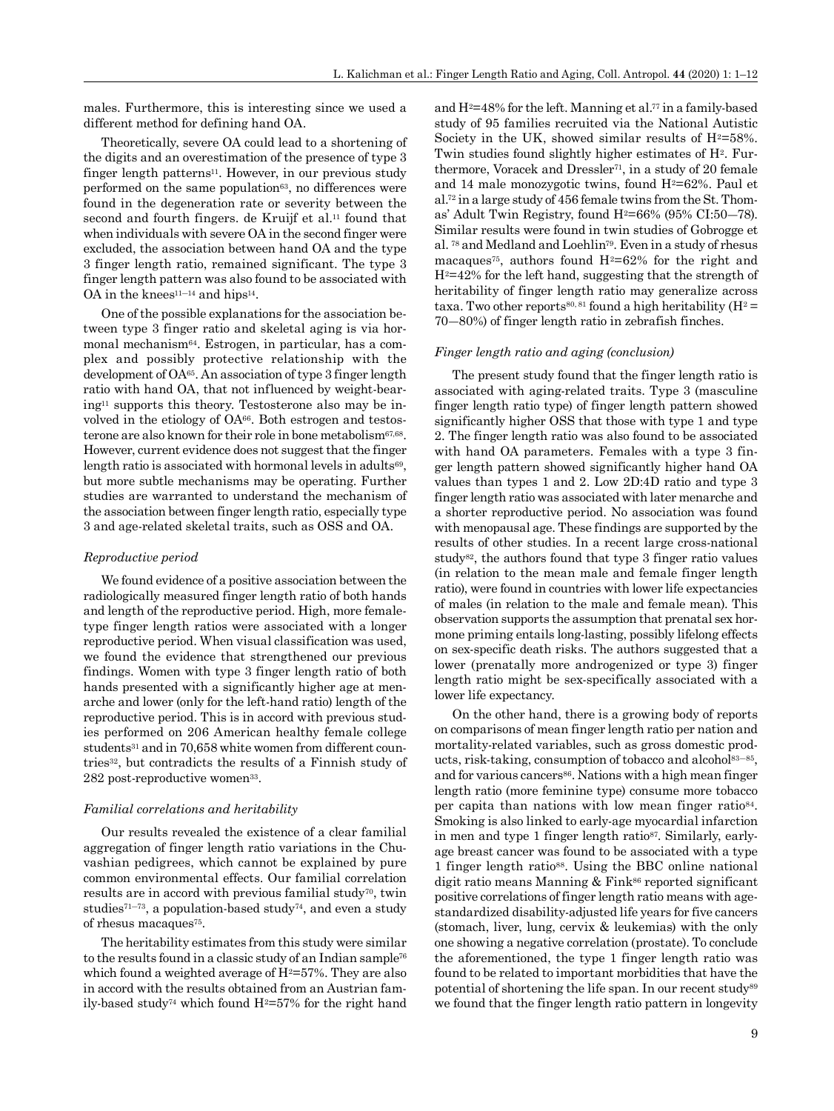males. Furthermore, this is interesting since we used a different method for defining hand OA.

Theoretically, severe OA could lead to a shortening of the digits and an overestimation of the presence of type 3 finger length patterns<sup>11</sup>. However, in our previous study performed on the same population $63$ , no differences were found in the degeneration rate or severity between the second and fourth fingers, de Kruijf et al.<sup>11</sup> found that when individuals with severe OA in the second finger were excluded, the association between hand OA and the type 3 finger length ratio, remained significant. The type 3 finger length pattern was also found to be associated with OA in the knees<sup>11–14</sup> and hips<sup>14</sup>.

One of the possible explanations for the association between type 3 finger ratio and skeletal aging is via hormonal mechanism64. Estrogen, in particular, has a complex and possibly protective relationship with the development of OA65. An association of type 3 finger length ratio with hand OA, that not influenced by weight-bearing11 supports this theory. Testosterone also may be involved in the etiology of OA66. Both estrogen and testosterone are also known for their role in bone metabolism $67,68$ . However, current evidence does not suggest that the finger length ratio is associated with hormonal levels in adults<sup>69</sup>, but more subtle mechanisms may be operating. Further studies are warranted to understand the mechanism of the association between finger length ratio, especially type 3 and age-related skeletal traits, such as OSS and OA.

#### *Reproductive period*

We found evidence of a positive association between the radiologically measured finger length ratio of both hands and length of the reproductive period. High, more femaletype finger length ratios were associated with a longer reproductive period. When visual classification was used, we found the evidence that strengthened our previous findings. Women with type 3 finger length ratio of both hands presented with a significantly higher age at menarche and lower (only for the left-hand ratio) length of the reproductive period. This is in accord with previous studies performed on 206 American healthy female college students<sup>31</sup> and in 70,658 white women from different countries32, but contradicts the results of a Finnish study of 282 post-reproductive women<sup>33</sup>.

#### *Familial correlations and heritability*

Our results revealed the existence of a clear familial aggregation of finger length ratio variations in the Chuvashian pedigrees, which cannot be explained by pure common environmental effects. Our familial correlation results are in accord with previous familial study70, twin studies<sup> $71-73$ </sup>, a population-based study<sup> $74$ </sup>, and even a study of rhesus macaques<sup>75</sup>.

The heritability estimates from this study were similar to the results found in a classic study of an Indian sample<sup>76</sup> which found a weighted average of  $H^2 = 57\%$ . They are also in accord with the results obtained from an Austrian family-based study<sup>74</sup> which found  $H^2 = 57\%$  for the right hand and  $H^2=48\%$  for the left. Manning et al.<sup>77</sup> in a family-based study of 95 families recruited via the National Autistic Society in the UK, showed similar results of  $H<sup>2</sup>=58%$ . Twin studies found slightly higher estimates of H<sup>2</sup>. Furthermore, Voracek and Dressler71, in a study of 20 female and 14 male monozygotic twins, found  $H^2=62\%$ . Paul et al.72 in a large study of 456 female twins from the St. Thomas' Adult Twin Registry, found  $H^2=66\%$  (95% CI:50-78). Similar results were found in twin studies of Gobrogge et al. 78 and Medland and Loehlin79. Even in a study of rhesus macaques<sup>75</sup>, authors found  $H^2=62\%$  for the right and  $H<sup>2</sup>=42%$  for the left hand, suggesting that the strength of heritability of finger length ratio may generalize across taxa. Two other reports<sup>80, 81</sup> found a high heritability ( $H^2$  = 70―80%) of finger length ratio in zebrafish finches.

#### *Finger length ratio and aging (conclusion)*

The present study found that the finger length ratio is associated with aging-related traits. Type 3 (masculine finger length ratio type) of finger length pattern showed significantly higher OSS that those with type 1 and type 2. The finger length ratio was also found to be associated with hand OA parameters. Females with a type 3 finger length pattern showed significantly higher hand OA values than types 1 and 2. Low 2D:4D ratio and type 3 finger length ratio was associated with later menarche and a shorter reproductive period. No association was found with menopausal age. These findings are supported by the results of other studies. In a recent large cross-national study<sup>82</sup>, the authors found that type 3 finger ratio values (in relation to the mean male and female finger length ratio), were found in countries with lower life expectancies of males (in relation to the male and female mean). This observation supports the assumption that prenatal sex hormone priming entails long-lasting, possibly lifelong effects on sex-specific death risks. The authors suggested that a lower (prenatally more androgenized or type 3) finger length ratio might be sex-specifically associated with a lower life expectancy.

On the other hand, there is a growing body of reports on comparisons of mean finger length ratio per nation and mortality-related variables, such as gross domestic products, risk-taking, consumption of tobacco and alcohol<sup>83–85</sup>, and for various cancers<sup>86</sup>. Nations with a high mean finger length ratio (more feminine type) consume more tobacco per capita than nations with low mean finger ratio84. Smoking is also linked to early-age myocardial infarction in men and type 1 finger length ratio<sup>87</sup>. Similarly, earlyage breast cancer was found to be associated with a type 1 finger length ratio88. Using the BBC online national digit ratio means Manning & Fink<sup>86</sup> reported significant positive correlations of finger length ratio means with agestandardized disability-adjusted life years for five cancers (stomach, liver, lung, cervix & leukemias) with the only one showing a negative correlation (prostate). To conclude the aforementioned, the type 1 finger length ratio was found to be related to important morbidities that have the potential of shortening the life span. In our recent study<sup>89</sup> we found that the finger length ratio pattern in longevity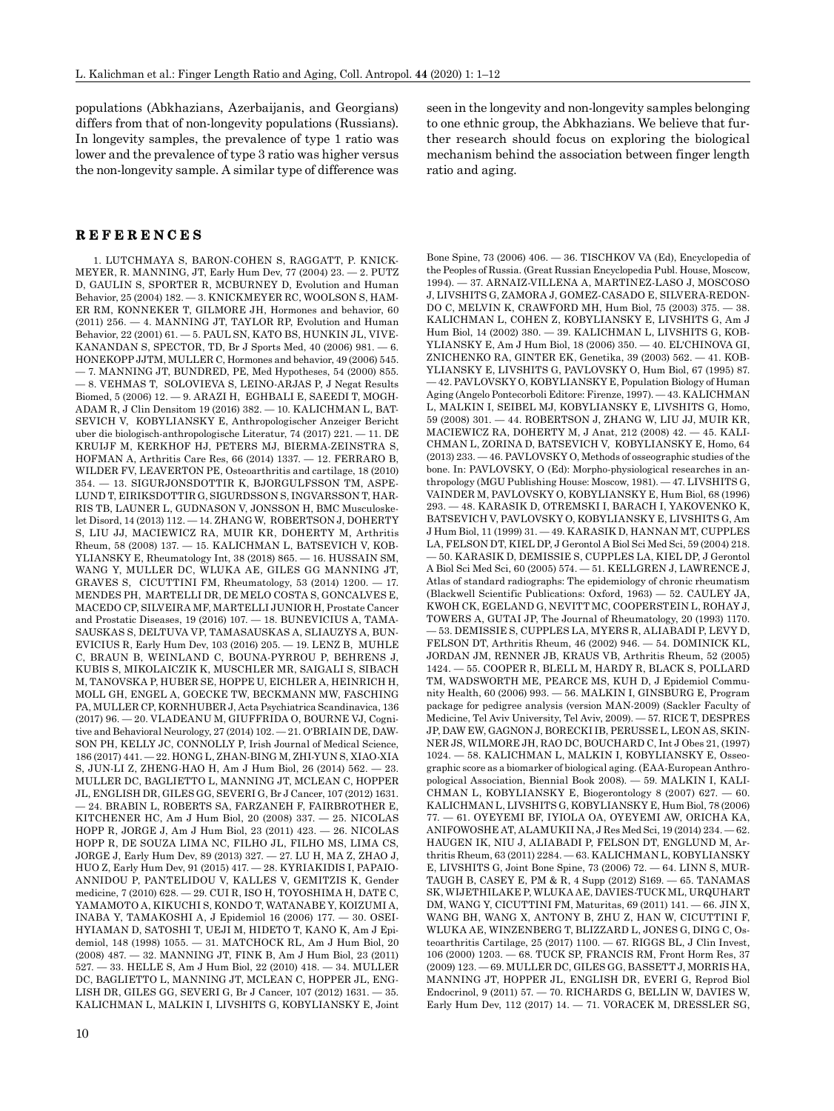populations (Abkhazians, Azerbaijanis, and Georgians) differs from that of non-longevity populations (Russians). In longevity samples, the prevalence of type 1 ratio was lower and the prevalence of type 3 ratio was higher versus the non-longevity sample. A similar type of difference was

# **REFERENCES**

1. LUTCHMAYA S, BARON-COHEN S, RAGGATT, P. KNICK-MEYER, R. MANNING, JT, Early Hum Dev, 77 (2004) 23. — 2. PUTZ D, GAULIN S, SPORTER R, MCBURNEY D, Evolution and Human Behavior, 25 (2004) 182. — 3. KNICKMEYER RC, WOOLSON S, HAM-ER RM, KONNEKER T, GILMORE JH, Hormones and behavior, 60 (2011) 256. — 4. MANNING JT, TAYLOR RP, Evolution and Human Behavior, 22 (2001) 61. — 5. PAUL SN, KATO BS, HUNKIN JL, VIVE-KANANDAN S, SPECTOR, TD, Br J Sports Med, 40 (2006) 981. — 6. HONEKOPP JJTM, MULLER C, Hormones and behavior, 49 (2006) 545. — 7. MANNING JT, BUNDRED, PE, Med Hypotheses, 54 (2000) 855. — 8. VEHMAS T, SOLOVIEVA S, LEINO-ARJAS P, J Negat Results Biomed, 5 (2006) 12. — 9. ARAZI H, EGHBALI E, SAEEDI T, MOGH-ADAM R, J Clin Densitom 19 (2016) 382. — 10. KALICHMAN L, BAT-SEVICH V, KOBYLIANSKY E, Anthropologischer Anzeiger Bericht uber die biologisch-anthropologische Literatur, 74 (2017) 221. — 11. DE KRUIJF M, KERKHOF HJ, PETERS MJ, BIERMA-ZEINSTRA S, HOFMAN A, Arthritis Care Res, 66 (2014) 1337. — 12. FERRARO B, WILDER FV, LEAVERTON PE, Osteoarthritis and cartilage, 18 (2010) 354. — 13. SIGURJONSDOTTIR K, BJORGULFSSON TM, ASPE-LUND T, EIRIKSDOTTIR G, SIGURDSSON S, INGVARSSON T, HAR-RIS TB, LAUNER L, GUDNASON V, JONSSON H, BMC Musculoskelet Disord, 14 (2013) 112. — 14. ZHANG W, ROBERTSON J, DOHERTY S, LIU JJ, MACIEWICZ RA, MUIR KR, DOHERTY M, Arthritis Rheum, 58 (2008) 137. — 15. KALICHMAN L, BATSEVICH V, KOB-YLIANSKY E, Rheumatology Int, 38 (2018) 865. — 16. HUSSAIN SM, WANG Y, MULLER DC, WLUKA AE, GILES GG MANNING JT, GRAVES S, CICUTTINI FM, Rheumatology, 53 (2014) 1200. — 17. MENDES PH, MARTELLI DR, DE MELO COSTA S, GONCALVES E, MACEDO CP, SILVEIRA MF, MARTELLI JUNIOR H, Prostate Cancer and Prostatic Diseases, 19 (2016) 107. — 18. BUNEVICIUS A, TAMA-SAUSKAS S, DELTUVA VP, TAMASAUSKAS A, SLIAUZYS A, BUN-EVICIUS R, Early Hum Dev, 103 (2016) 205. — 19. LENZ B, MUHLE C, BRAUN B, WEINLAND C, BOUNA-PYRROU P, BEHRENS J, KUBIS S, MIKOLAICZIK K, MUSCHLER MR, SAIGALI S, SIBACH M, TANOVSKA P, HUBER SE, HOPPE U, EICHLER A, HEINRICH H, MOLL GH, ENGEL A, GOECKE TW, BECKMANN MW, FASCHING PA, MULLER CP, KORNHUBER J, Acta Psychiatrica Scandinavica, 136 (2017) 96. — 20. VLADEANU M, GIUFFRIDA O, BOURNE VJ, Cognitive and Behavioral Neurology, 27 (2014) 102. — 21. O'BRIAIN DE, DAW-SON PH, KELLY JC, CONNOLLY P, Irish Journal of Medical Science, 186 (2017) 441. — 22. HONG L, ZHAN-BING M, ZHI-YUN S, XIAO-XIA S, JUN-LI Z, ZHENG-HAO H, Am J Hum Biol, 26 (2014) 562. — 23. MULLER DC, BAGLIETTO L, MANNING JT, MCLEAN C, HOPPER JL, ENGLISH DR, GILES GG, SEVERI G, Br J Cancer, 107 (2012) 1631. — 24. BRABIN L, ROBERTS SA, FARZANEH F, FAIRBROTHER E, KITCHENER HC, Am J Hum Biol, 20 (2008) 337. — 25. NICOLAS HOPP R, JORGE J, Am J Hum Biol, 23 (2011) 423. — 26. NICOLAS HOPP R, DE SOUZA LIMA NC, FILHO JL, FILHO MS, LIMA CS, JORGE J, Early Hum Dev, 89 (2013) 327. — 27. LU H, MA Z, ZHAO J, HUO Z, Early Hum Dev, 91 (2015) 417. — 28. KYRIAKIDIS I, PAPAIO-ANNIDOU P, PANTELIDOU V, KALLES V, GEMITZIS K, Gender medicine, 7 (2010) 628. — 29. CUI R, ISO H, TOYOSHIMA H, DATE C, YAMAMOTO A, KIKUCHI S, KONDO T, WATANABE Y, KOIZUMI A, INABA Y, TAMAKOSHI A, J Epidemiol 16 (2006) 177. — 30. OSEI-HYIAMAN D, SATOSHI T, UEJI M, HIDETO T, KANO K, Am J Epidemiol, 148 (1998) 1055. — 31. MATCHOCK RL, Am J Hum Biol, 20 (2008) 487. — 32. MANNING JT, FINK B, Am J Hum Biol, 23 (2011) 527. — 33. HELLE S, Am J Hum Biol, 22 (2010) 418. — 34. MULLER DC, BAGLIETTO L, MANNING JT, MCLEAN C, HOPPER JL, ENG-LISH DR, GILES GG, SEVERI G, Br J Cancer, 107 (2012) 1631. — 35. KALICHMAN L, MALKIN I, LIVSHITS G, KOBYLIANSKY E, Joint seen in the longevity and non-longevity samples belonging to one ethnic group, the Abkhazians. We believe that further research should focus on exploring the biological mechanism behind the association between finger length ratio and aging.

Bone Spine, 73 (2006) 406. — 36. TISCHKOV VA (Ed), Encyclopedia of the Peoples of Russia. (Great Russian Encyclopedia Publ. House, Moscow, 1994). — 37. ARNAIZ-VILLENA A, MARTINEZ-LASO J, MOSCOSO J, LIVSHITS G, ZAMORA J, GOMEZ-CASADO E, SILVERA-REDON-DO C, MELVIN K, CRAWFORD MH, Hum Biol, 75 (2003) 375. — 38. KALICHMAN L, COHEN Z, KOBYLIANSKY E, LIVSHITS G, Am J Hum Biol, 14 (2002) 380. — 39. KALICHMAN L, LIVSHITS G, KOB-YLIANSKY E, Am J Hum Biol, 18 (2006) 350. — 40. EL'CHINOVA GI, ZNICHENKO RA, GINTER EK, Genetika, 39 (2003) 562. — 41. KOB-YLIANSKY E, LIVSHITS G, PAVLOVSKY O, Hum Biol, 67 (1995) 87. — 42. PAVLOVSKY O, KOBYLIANSKY E, Population Biology of Human Aging (Angelo Pontecorboli Editore: Firenze, 1997). — 43. KALICHMAN L, MALKIN I, SEIBEL MJ, KOBYLIANSKY E, LIVSHITS G, Homo, 59 (2008) 301. — 44. ROBERTSON J, ZHANG W, LIU JJ, MUIR KR, MACIEWICZ RA, DOHERTY M, J Anat, 212 (2008) 42. — 45. KALI-CHMAN L, ZORINA D, BATSEVICH V, KOBYLIANSKY E, Homo, 64 (2013) 233. — 46. PAVLOVSKY O, Methods of osseographic studies of the bone. In: PAVLOVSKY, O (Ed): Morpho-physiological researches in anthropology (MGU Publishing House: Moscow, 1981). — 47. LIVSHITS G, VAINDER M, PAVLOVSKY O, KOBYLIANSKY E, Hum Biol, 68 (1996) 293. — 48. KARASIK D, OTREMSKI I, BARACH I, YAKOVENKO K, BATSEVICH V, PAVLOVSKY O, KOBYLIANSKY E, LIVSHITS G, Am J Hum Biol, 11 (1999) 31. — 49. KARASIK D, HANNAN MT, CUPPLES LA, FELSON DT, KIEL DP, J Gerontol A Biol Sci Med Sci, 59 (2004) 218. — 50. KARASIK D, DEMISSIE S, CUPPLES LA, KIEL DP, J Gerontol A Biol Sci Med Sci, 60 (2005) 574. — 51. KELLGREN J, LAWRENCE J, Atlas of standard radiographs: The epidemiology of chronic rheumatism (Blackwell Scientific Publications: Oxford, 1963) — 52. CAULEY JA, KWOH CK, EGELAND G, NEVITT MC, COOPERSTEIN L, ROHAY J, TOWERS A, GUTAI JP, The Journal of Rheumatology, 20 (1993) 1170. — 53. DEMISSIE S, CUPPLES LA, MYERS R, ALIABADI P, LEVY D, FELSON DT, Arthritis Rheum, 46 (2002) 946. — 54. DOMINICK KL, JORDAN JM, RENNER JB, KRAUS VB, Arthritis Rheum, 52 (2005) 1424. — 55. COOPER R, BLELL M, HARDY R, BLACK S, POLLARD TM, WADSWORTH ME, PEARCE MS, KUH D, J Epidemiol Community Health, 60 (2006) 993. — 56. MALKIN I, GINSBURG E, Program package for pedigree analysis (version MAN-2009) (Sackler Faculty of Medicine, Tel Aviv University, Tel Aviv, 2009). — 57. RICE T, DESPRES JP, DAW EW, GAGNON J, BORECKI IB, PERUSSE L, LEON AS, SKIN-NER JS, WILMORE JH, RAO DC, BOUCHARD C, Int J Obes 21, (1997) 1024. — 58. KALICHMAN L, MALKIN I, KOBYLIANSKY E, Osseographic score as a biomarker of biological aging. (EAA-European Anthropological Association, Biennial Book 2008). — 59. MALKIN I, KALI-CHMAN L, KOBYLIANSKY E, Biogerontology 8 (2007) 627. — 60. KALICHMAN L, LIVSHITS G, KOBYLIANSKY E, Hum Biol, 78 (2006) 77. — 61. OYEYEMI BF, IYIOLA OA, OYEYEMI AW, ORICHA KA, ANIFOWOSHE AT, ALAMUKII NA, J Res Med Sci, 19 (2014) 234. — 62. HAUGEN IK, NIU J, ALIABADI P, FELSON DT, ENGLUND M, Arthritis Rheum, 63 (2011) 2284. — 63. KALICHMAN L, KOBYLIANSKY E, LIVSHITS G, Joint Bone Spine, 73 (2006) 72. — 64. LINN S, MUR-TAUGH B, CASEY E, PM & R, 4 Supp (2012) S169. — 65. TANAMAS SK, WIJETHILAKE P, WLUKA AE, DAVIES-TUCK ML, URQUHART DM, WANG Y, CICUTTINI FM, Maturitas, 69 (2011) 141. — 66. JIN X, WANG BH, WANG X, ANTONY B, ZHU Z, HAN W, CICUTTINI F, WLUKA AE, WINZENBERG T, BLIZZARD L, JONES G, DING C, Osteoarthritis Cartilage, 25 (2017) 1100. — 67. RIGGS BL, J Clin Invest, 106 (2000) 1203. — 68. TUCK SP, FRANCIS RM, Front Horm Res, 37 (2009) 123. — 69. MULLER DC, GILES GG, BASSETT J, MORRIS HA, MANNING JT, HOPPER JL, ENGLISH DR, EVERI G, Reprod Biol Endocrinol, 9 (2011) 57. — 70. RICHARDS G, BELLIN W, DAVIES W, Early Hum Dev, 112 (2017) 14. — 71. VORACEK M, DRESSLER SG,